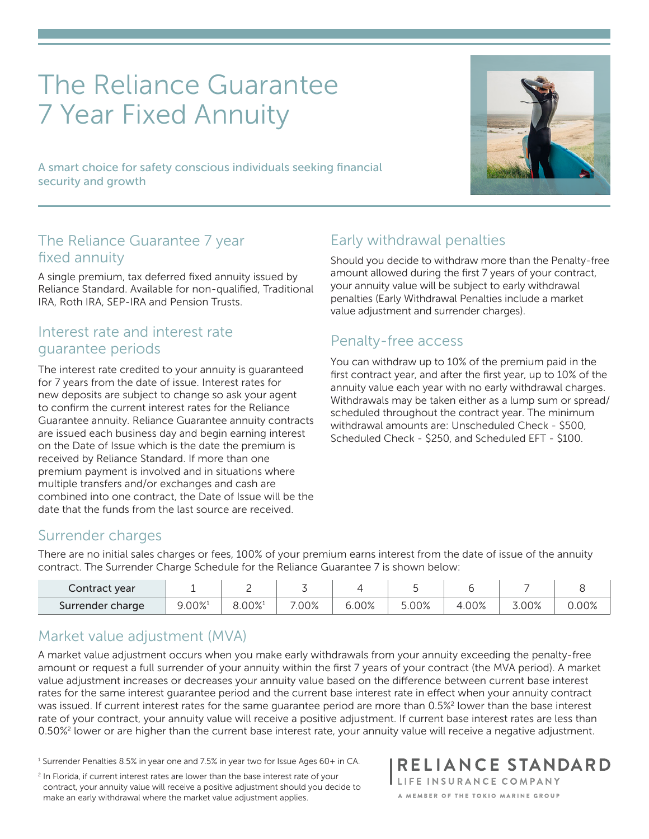# The Reliance Guarantee 7 Year Fixed Annuity

A smart choice for safety conscious individuals seeking financial security and growth

#### The Reliance Guarantee 7 year fixed annuity

A single premium, tax deferred fixed annuity issued by Reliance Standard. Available for non-qualified, Traditional IRA, Roth IRA, SEP-IRA and Pension Trusts.

#### Interest rate and interest rate guarantee periods

The interest rate credited to your annuity is guaranteed for 7 years from the date of issue. Interest rates for new deposits are subject to change so ask your agent to confirm the current interest rates for the Reliance Guarantee annuity. Reliance Guarantee annuity contracts are issued each business day and begin earning interest on the Date of Issue which is the date the premium is received by Reliance Standard. If more than one premium payment is involved and in situations where multiple transfers and/or exchanges and cash are combined into one contract, the Date of Issue will be the date that the funds from the last source are received.

## Early withdrawal penalties

Should you decide to withdraw more than the Penalty-free amount allowed during the first 7 years of your contract, your annuity value will be subject to early withdrawal penalties (Early Withdrawal Penalties include a market value adjustment and surrender charges).

#### Penalty-free access

You can withdraw up to 10% of the premium paid in the first contract year, and after the first year, up to 10% of the annuity value each year with no early withdrawal charges. Withdrawals may be taken either as a lump sum or spread/ scheduled throughout the contract year. The minimum withdrawal amounts are: Unscheduled Check - \$500, Scheduled Check - \$250, and Scheduled EFT - \$100.

#### Surrender charges

There are no initial sales charges or fees, 100% of your premium earns interest from the date of issue of the annuity contract. The Surrender Charge Schedule for the Reliance Guarantee 7 is shown below:

| Contract year    |                       | -                                |      |       |       |       |       |      |
|------------------|-----------------------|----------------------------------|------|-------|-------|-------|-------|------|
| Surrender charge | $9.00\%$ <sup>1</sup> | $8.00\% ^{\scriptscriptstyle 1}$ | .00% | 6.00% | 5.00% | 1.00% | 3.00% | .00% |

#### Market value adjustment (MVA)

A market value adjustment occurs when you make early withdrawals from your annuity exceeding the penalty-free amount or request a full surrender of your annuity within the first 7 years of your contract (the MVA period). A market value adjustment increases or decreases your annuity value based on the difference between current base interest rates for the same interest guarantee period and the current base interest rate in effect when your annuity contract was issued. If current interest rates for the same guarantee period are more than 0.5%<sup>2</sup> lower than the base interest rate of your contract, your annuity value will receive a positive adjustment. If current base interest rates are less than 0.50%<sup>2</sup> lower or are higher than the current base interest rate, your annuity value will receive a negative adjustment.

<sup>1</sup> Surrender Penalties 8.5% in year one and 7.5% in year two for Issue Ages 60+ in CA.

<sup>2</sup> In Florida, if current interest rates are lower than the base interest rate of your contract, your annuity value will receive a positive adjustment should you decide to make an early withdrawal where the market value adjustment applies.